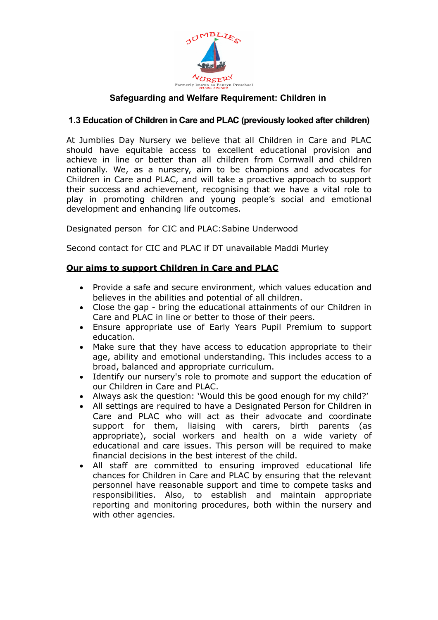

## **1.3 Education of Children in Care and PLAC (previously looked after children)**

At Jumblies Day Nursery we believe that all Children in Care and PLAC should have equitable access to excellent educational provision and achieve in line or better than all children from Cornwall and children nationally. We, as a nursery, aim to be champions and advocates for Children in Care and PLAC, and will take a proactive approach to support their success and achievement, recognising that we have a vital role to play in promoting children and young people's social and emotional development and enhancing life outcomes.

Designated person for CIC and PLAC:Sabine Underwood

Second contact for CIC and PLAC if DT unavailable Maddi Murley

# **Our aims to support Children in Care and PLAC**

- Provide a safe and secure environment, which values education and believes in the abilities and potential of all children.
- Close the gap bring the educational attainments of our Children in Care and PLAC in line or better to those of their peers.
- Ensure appropriate use of Early Years Pupil Premium to support education.
- Make sure that they have access to education appropriate to their age, ability and emotional understanding. This includes access to a broad, balanced and appropriate curriculum.
- Identify our nursery's role to promote and support the education of our Children in Care and PLAC.
- Always ask the question: 'Would this be good enough for my child?'
- All settings are required to have a Designated Person for Children in Care and PLAC who will act as their advocate and coordinate support for them, liaising with carers, birth parents (as appropriate), social workers and health on a wide variety of educational and care issues. This person will be required to make financial decisions in the best interest of the child.
- All staff are committed to ensuring improved educational life chances for Children in Care and PLAC by ensuring that the relevant personnel have reasonable support and time to compete tasks and responsibilities. Also, to establish and maintain appropriate reporting and monitoring procedures, both within the nursery and with other agencies.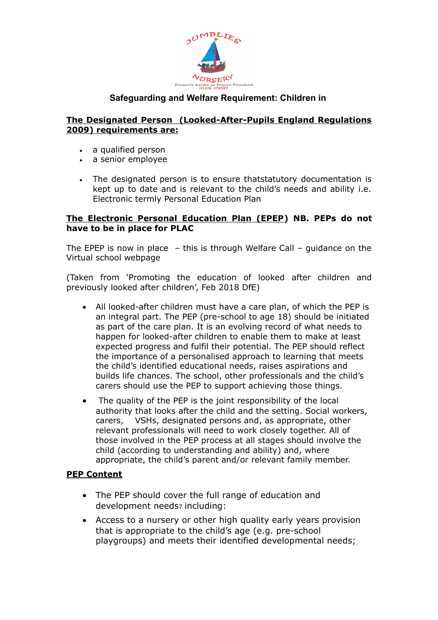

## **The Designated Person (Looked-After-Pupils England Regulations 2009) requirements are:**

- a qualified person
- a senior employee
- The designated person is to ensure thatstatutory documentation is kept up to date and is relevant to the child's needs and ability i.e. Electronic termly Personal Education Plan

#### **The Electronic Personal Education Plan (EPEP) NB. PEPs do not have to be in place for PLAC**

The EPEP is now in place – this is through Welfare Call – guidance on the Virtual school webpage

(Taken from 'Promoting the education of looked after children and previously looked after children', Feb 2018 DfE)

- All looked-after children must have a care plan, of which the PEP is an integral part. The PEP (pre-school to age 18) should be initiated as part of the care plan. It is an evolving record of what needs to happen for looked-after children to enable them to make at least expected progress and fulfil their potential. The PEP should reflect the importance of a personalised approach to learning that meets the child's identified educational needs, raises aspirations and builds life chances. The school, other professionals and the child's carers should use the PEP to support achieving those things.
- The quality of the PEP is the joint responsibility of the local authority that looks after the child and the setting. Social workers, carers, VSHs, designated persons and, as appropriate, other relevant professionals will need to work closely together. All of those involved in the PEP process at all stages should involve the child (according to understanding and ability) and, where appropriate, the child's parent and/or relevant family member.

## **PEP Content**

- The PEP should cover the full range of education and development needs<sub>7</sub> including:
- Access to a nursery or other high quality early years provision that is appropriate to the child's age (e.g. pre-school playgroups) and meets their identified developmental needs;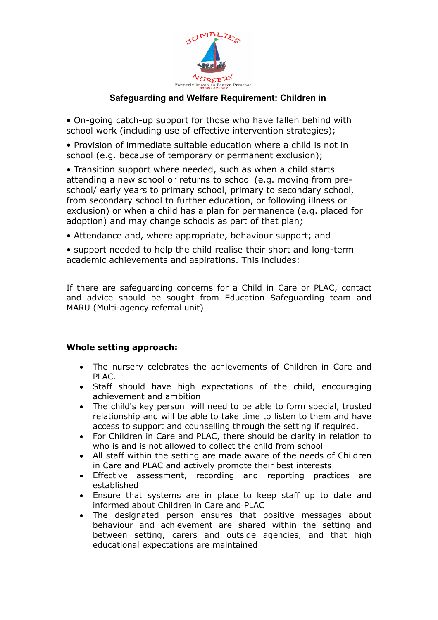

• On-going catch-up support for those who have fallen behind with school work (including use of effective intervention strategies);

• Provision of immediate suitable education where a child is not in school (e.g. because of temporary or permanent exclusion);

• Transition support where needed, such as when a child starts attending a new school or returns to school (e.g. moving from preschool/ early years to primary school, primary to secondary school, from secondary school to further education, or following illness or exclusion) or when a child has a plan for permanence (e.g. placed for adoption) and may change schools as part of that plan;

• Attendance and, where appropriate, behaviour support; and

• support needed to help the child realise their short and long-term academic achievements and aspirations. This includes:

If there are safeguarding concerns for a Child in Care or PLAC, contact and advice should be sought from Education Safeguarding team and MARU (Multi-agency referral unit)

## **Whole setting approach:**

- The nursery celebrates the achievements of Children in Care and PLAC.
- Staff should have high expectations of the child, encouraging achievement and ambition
- The child's key person will need to be able to form special, trusted relationship and will be able to take time to listen to them and have access to support and counselling through the setting if required.
- For Children in Care and PLAC, there should be clarity in relation to who is and is not allowed to collect the child from school
- All staff within the setting are made aware of the needs of Children in Care and PLAC and actively promote their best interests
- Effective assessment, recording and reporting practices are established
- Ensure that systems are in place to keep staff up to date and informed about Children in Care and PLAC
- The designated person ensures that positive messages about behaviour and achievement are shared within the setting and between setting, carers and outside agencies, and that high educational expectations are maintained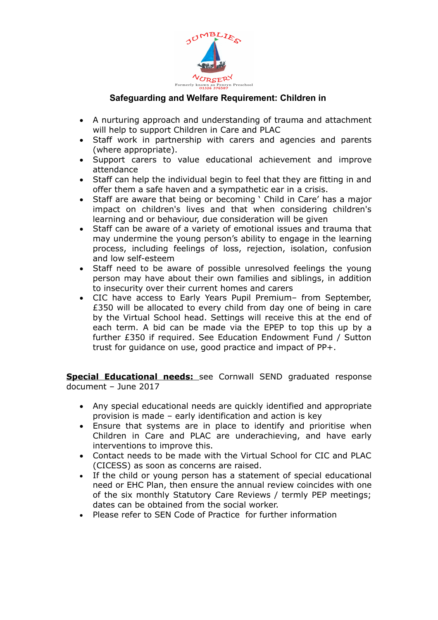

- A nurturing approach and understanding of trauma and attachment will help to support Children in Care and PLAC
- Staff work in partnership with carers and agencies and parents (where appropriate).
- Support carers to value educational achievement and improve attendance
- Staff can help the individual begin to feel that they are fitting in and offer them a safe haven and a sympathetic ear in a crisis.
- Staff are aware that being or becoming ' Child in Care' has a major impact on children's lives and that when considering children's learning and or behaviour, due consideration will be given
- Staff can be aware of a variety of emotional issues and trauma that may undermine the young person's ability to engage in the learning process, including feelings of loss, rejection, isolation, confusion and low self-esteem
- Staff need to be aware of possible unresolved feelings the young person may have about their own families and siblings, in addition to insecurity over their current homes and carers
- CIC have access to Early Years Pupil Premium– from September, £350 will be allocated to every child from day one of being in care by the Virtual School head. Settings will receive this at the end of each term. A bid can be made via the EPEP to top this up by a further £350 if required. See Education Endowment Fund / Sutton trust for guidance on use, good practice and impact of PP+.

**Special Educational needs:** see Cornwall SEND graduated response document – June 2017

- Any special educational needs are quickly identified and appropriate provision is made – early identification and action is key
- Ensure that systems are in place to identify and prioritise when Children in Care and PLAC are underachieving, and have early interventions to improve this.
- Contact needs to be made with the Virtual School for CIC and PLAC (CICESS) as soon as concerns are raised.
- If the child or young person has a statement of special educational need or EHC Plan, then ensure the annual review coincides with one of the six monthly Statutory Care Reviews / termly PEP meetings; dates can be obtained from the social worker.
- Please refer to SEN Code of Practice for further information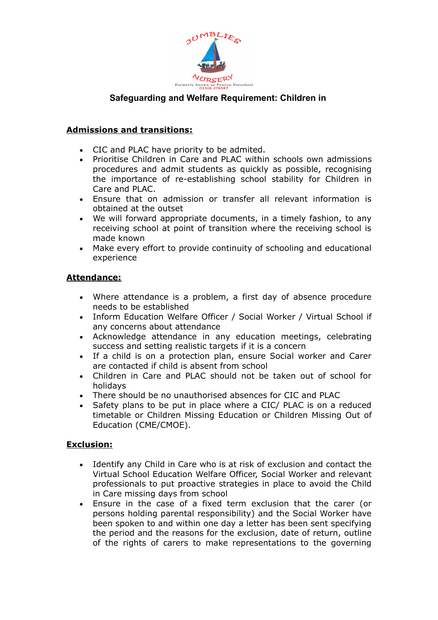

## **Admissions and transitions:**

- CIC and PLAC have priority to be admited.
- Prioritise Children in Care and PLAC within schools own admissions procedures and admit students as quickly as possible, recognising the importance of re-establishing school stability for Children in Care and PLAC.
- Ensure that on admission or transfer all relevant information is obtained at the outset
- We will forward appropriate documents, in a timely fashion, to any receiving school at point of transition where the receiving school is made known
- Make every effort to provide continuity of schooling and educational experience

## **Attendance:**

- Where attendance is a problem, a first day of absence procedure needs to be established
- Inform Education Welfare Officer / Social Worker / Virtual School if any concerns about attendance
- Acknowledge attendance in any education meetings, celebrating success and setting realistic targets if it is a concern
- If a child is on a protection plan, ensure Social worker and Carer are contacted if child is absent from school
- Children in Care and PLAC should not be taken out of school for holidays
- There should be no unauthorised absences for CIC and PLAC
- Safety plans to be put in place where a CIC/ PLAC is on a reduced timetable or Children Missing Education or Children Missing Out of Education (CME/CMOE).

## **Exclusion:**

- Identify any Child in Care who is at risk of exclusion and contact the Virtual School Education Welfare Officer, Social Worker and relevant professionals to put proactive strategies in place to avoid the Child in Care missing days from school
- Ensure in the case of a fixed term exclusion that the carer (or persons holding parental responsibility) and the Social Worker have been spoken to and within one day a letter has been sent specifying the period and the reasons for the exclusion, date of return, outline of the rights of carers to make representations to the governing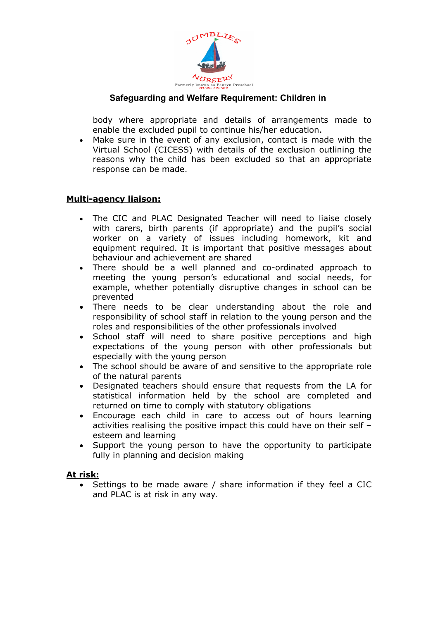

body where appropriate and details of arrangements made to enable the excluded pupil to continue his/her education.

 Make sure in the event of any exclusion, contact is made with the Virtual School (CICESS) with details of the exclusion outlining the reasons why the child has been excluded so that an appropriate response can be made.

## **Multi-agency liaison:**

- The CIC and PLAC Designated Teacher will need to liaise closely with carers, birth parents (if appropriate) and the pupil's social worker on a variety of issues including homework, kit and equipment required. It is important that positive messages about behaviour and achievement are shared
- There should be a well planned and co-ordinated approach to meeting the young person's educational and social needs, for example, whether potentially disruptive changes in school can be prevented
- There needs to be clear understanding about the role and responsibility of school staff in relation to the young person and the roles and responsibilities of the other professionals involved
- School staff will need to share positive perceptions and high expectations of the young person with other professionals but especially with the young person
- The school should be aware of and sensitive to the appropriate role of the natural parents
- Designated teachers should ensure that requests from the LA for statistical information held by the school are completed and returned on time to comply with statutory obligations
- Encourage each child in care to access out of hours learning activities realising the positive impact this could have on their self – esteem and learning
- Support the young person to have the opportunity to participate fully in planning and decision making

#### **At risk:**

• Settings to be made aware / share information if they feel a CIC and PLAC is at risk in any way.